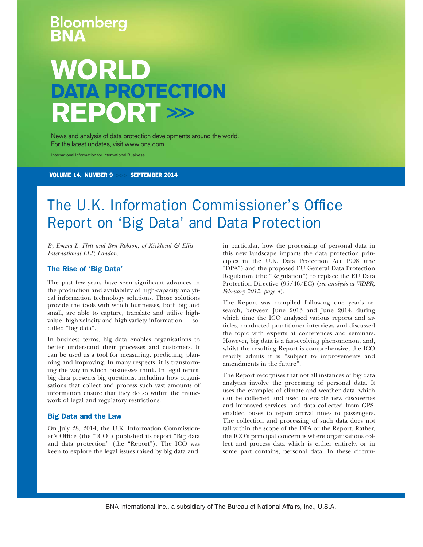# oomberg **WORLD DATA PROTECTION REPORT >>>**

News and analysis of data protection developments around the world. For the latest updates, visit www.bna.com

International Information for International Business

VOLUME 14, NUMBER 9 >>> SEPTEMBER 2014

## The U.K. Information Commissioner's Office Report on 'Big Data' and Data Protection

*By Emma L. Flett and Ben Robson, of Kirkland & Ellis International LLP, London.*

#### The Rise of 'Big Data'

The past few years have seen significant advances in the production and availability of high-capacity analytical information technology solutions. Those solutions provide the tools with which businesses, both big and small, are able to capture, translate and utilise highvalue, high-velocity and high-variety information — socalled "big data".

In business terms, big data enables organisations to better understand their processes and customers. It can be used as a tool for measuring, predicting, planning and improving. In many respects, it is transforming the way in which businesses think. In legal terms, big data presents big questions, including how organisations that collect and process such vast amounts of information ensure that they do so within the framework of legal and regulatory restrictions.

#### Big Data and the Law

On July 28, 2014, the U.K. Information Commissioner's Office (the "ICO") published its report "Big data and data protection'' (the ''Report''). The ICO was keen to explore the legal issues raised by big data and, in particular, how the processing of personal data in this new landscape impacts the data protection principles in the U.K. Data Protection Act 1998 (the ''DPA'') and the proposed EU General Data Protection Regulation (the ''Regulation'') to replace the EU Data Protection Directive (95/46/EC) (*see analysis at WDPR, February 2012, page 4*).

The Report was compiled following one year's research, between June 2013 and June 2014, during which time the ICO analysed various reports and articles, conducted practitioner interviews and discussed the topic with experts at conferences and seminars. However, big data is a fast-evolving phenomenon, and, whilst the resulting Report is comprehensive, the ICO readily admits it is ''subject to improvements and amendments in the future''.

The Report recognises that not all instances of big data analytics involve the processing of personal data. It uses the examples of climate and weather data, which can be collected and used to enable new discoveries and improved services, and data collected from GPSenabled buses to report arrival times to passengers. The collection and processing of such data does not fall within the scope of the DPA or the Report. Rather, the ICO's principal concern is where organisations collect and process data which is either entirely, or in some part contains, personal data. In these circum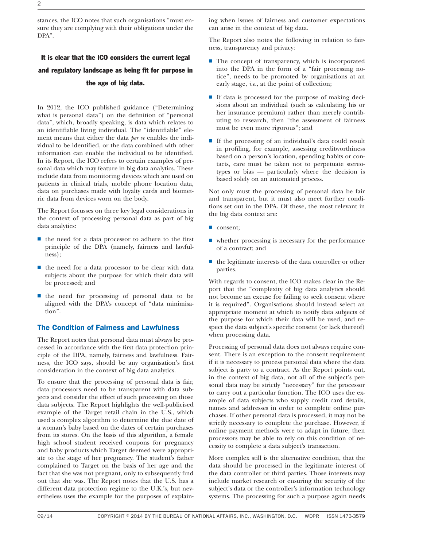stances, the ICO notes that such organisations ''must ensure they are complying with their obligations under the DPA''.

### It is clear that the ICO considers the current legal and regulatory landscape as being fit for purpose in the age of big data.

In 2012, the ICO published guidance (''Determining what is personal data'') on the definition of ''personal data'', which, broadly speaking, is data which relates to an identifiable living individual. The ''identifiable'' element means that either the data *per se* enables the individual to be identified, or the data combined with other information can enable the individual to be identified. In its Report, the ICO refers to certain examples of personal data which may feature in big data analytics. These include data from monitoring devices which are used on patients in clinical trials, mobile phone location data, data on purchases made with loyalty cards and biometric data from devices worn on the body.

The Report focusses on three key legal considerations in the context of processing personal data as part of big data analytics:

- $\blacksquare$  the need for a data processor to adhere to the first principle of the DPA (namely, fairness and lawfulness);
- $\blacksquare$  the need for a data processor to be clear with data subjects about the purpose for which their data will be processed; and
- **I** the need for processing of personal data to be aligned with the DPA's concept of ''data minimisation''.

#### The Condition of Fairness and Lawfulness

The Report notes that personal data must always be processed in accordance with the first data protection principle of the DPA, namely, fairness and lawfulness. Fairness, the ICO says, should be any organisation's first consideration in the context of big data analytics.

To ensure that the processing of personal data is fair, data processors need to be transparent with data subjects and consider the effect of such processing on those data subjects. The Report highlights the well-publicised example of the Target retail chain in the U.S., which used a complex algorithm to determine the due date of a woman's baby based on the dates of certain purchases from its stores. On the basis of this algorithm, a female high school student received coupons for pregnancy and baby products which Target deemed were appropriate to the stage of her pregnancy. The student's father complained to Target on the basis of her age and the fact that she was not pregnant, only to subsequently find out that she was. The Report notes that the U.S. has a different data protection regime to the U.K.'s, but nevertheless uses the example for the purposes of explaining when issues of fairness and customer expectations can arise in the context of big data.

The Report also notes the following in relation to fairness, transparency and privacy:

- $\blacksquare$  The concept of transparency, which is incorporated into the DPA in the form of a "fair processing notice'', needs to be promoted by organisations at an early stage, *i.e.*, at the point of collection;
- $\blacksquare$  If data is processed for the purpose of making decisions about an individual (such as calculating his or her insurance premium) rather than merely contributing to research, then ''the assessment of fairness must be even more rigorous''; and
- s If the processing of an individual's data could result in profiling, for example, assessing creditworthiness based on a person's location, spending habits or contacts, care must be taken not to perpetuate stereotypes or bias — particularly where the decision is based solely on an automated process.

Not only must the processing of personal data be fair and transparent, but it must also meet further conditions set out in the DPA. Of these, the most relevant in the big data context are:

- consent;
- $\blacksquare$  whether processing is necessary for the performance of a contract; and
- $\blacksquare$  the legitimate interests of the data controller or other parties.

With regards to consent, the ICO makes clear in the Report that the ''complexity of big data analytics should not become an excuse for failing to seek consent where it is required''. Organisations should instead select an appropriate moment at which to notify data subjects of the purpose for which their data will be used, and respect the data subject's specific consent (or lack thereof) when processing data.

Processing of personal data does not always require consent. There is an exception to the consent requirement if it is necessary to process personal data where the data subject is party to a contract. As the Report points out, in the context of big data, not all of the subject's personal data may be strictly "necessary" for the processor to carry out a particular function. The ICO uses the example of data subjects who supply credit card details, names and addresses in order to complete online purchases. If other personal data is processed, it may not be strictly necessary to complete the purchase. However, if online payment methods were to adapt in future, then processors may be able to rely on this condition of necessity to complete a data subject's transaction.

More complex still is the alternative condition, that the data should be processed in the legitimate interest of the data controller or third parties. Those interests may include market research or ensuring the security of the subject's data or the controller's information technology systems. The processing for such a purpose again needs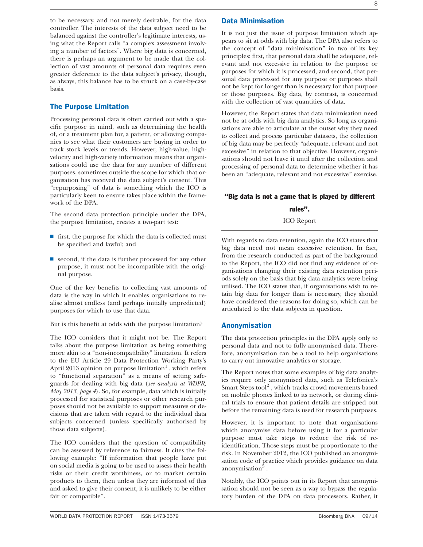to be necessary, and not merely desirable, for the data controller. The interests of the data subject need to be balanced against the controller's legitimate interests, using what the Report calls "a complex assessment involving a number of factors''. Where big data is concerned, there is perhaps an argument to be made that the collection of vast amounts of personal data requires even greater deference to the data subject's privacy, though, as always, this balance has to be struck on a case-by-case basis.

#### The Purpose Limitation

Processing personal data is often carried out with a specific purpose in mind, such as determining the health of, or a treatment plan for, a patient, or allowing companies to see what their customers are buying in order to track stock levels or trends. However, high-value, highvelocity and high-variety information means that organisations could use the data for any number of different purposes, sometimes outside the scope for which that organisation has received the data subject's consent. This ''repurposing'' of data is something which the ICO is particularly keen to ensure takes place within the framework of the DPA.

The second data protection principle under the DPA, the purpose limitation, creates a two-part test:

- $\blacksquare$  first, the purpose for which the data is collected must be specified and lawful; and
- $\blacksquare$  second, if the data is further processed for any other purpose, it must not be incompatible with the original purpose.

One of the key benefits to collecting vast amounts of data is the way in which it enables organisations to realise almost endless (and perhaps initially unpredicted) purposes for which to use that data.

But is this benefit at odds with the purpose limitation?

The ICO considers that it might not be. The Report talks about the purpose limitation as being something more akin to a ''non-incompatibility'' limitation. It refers to the EU Article 29 Data Protection Working Party's April 2013 opinion on purpose limitation $<sup>1</sup>$ , which refers</sup> to "functional separation" as a means of setting safeguards for dealing with big data (*see analysis at WDPR, May 2013, page 4*). So, for example, data which is initially processed for statistical purposes or other research purposes should not be available to support measures or decisions that are taken with regard to the individual data subjects concerned (unless specifically authorised by those data subjects).

The ICO considers that the question of compatibility can be assessed by reference to fairness. It cites the following example: "If information that people have put on social media is going to be used to assess their health risks or their credit worthiness, or to market certain products to them, then unless they are informed of this and asked to give their consent, it is unlikely to be either fair or compatible''.

#### Data Minimisation

It is not just the issue of purpose limitation which appears to sit at odds with big data. The DPA also refers to the concept of ''data minimisation'' in two of its key principles: first, that personal data shall be adequate, relevant and not excessive in relation to the purpose or purposes for which it is processed, and second, that personal data processed for any purpose or purposes shall not be kept for longer than is necessary for that purpose or those purposes. Big data, by contrast, is concerned with the collection of vast quantities of data.

However, the Report states that data minimisation need not be at odds with big data analytics. So long as organisations are able to articulate at the outset why they need to collect and process particular datasets, the collection of big data may be perfectly ''adequate, relevant and not excessive'' in relation to that objective. However, organisations should not leave it until after the collection and processing of personal data to determine whether it has been an ''adequate, relevant and not excessive'' exercise.

#### ''Big data is not a game that is played by different

rules''.

#### ICO Report

With regards to data retention, again the ICO states that big data need not mean excessive retention. In fact, from the research conducted as part of the background to the Report, the ICO did not find any evidence of organisations changing their existing data retention periods solely on the basis that big data analytics were being utilised. The ICO states that, if organisations wish to retain big data for longer than is necessary, they should have considered the reasons for doing so, which can be articulated to the data subjects in question.

#### Anonymisation

The data protection principles in the DPA apply only to personal data and not to fully anonymised data. Therefore, anonymisation can be a tool to help organisations to carry out innovative analytics or storage.

The Report notes that some examples of big data analytics require only anonymised data, such as Telefónica's Smart Steps tool<sup>2</sup>, which tracks crowd movements based on mobile phones linked to its network, or during clinical trials to ensure that patient details are stripped out before the remaining data is used for research purposes.

However, it is important to note that organisations which anonymise data before using it for a particular purpose must take steps to reduce the risk of reidentification. Those steps must be proportionate to the risk. In November 2012, the ICO published an anonymisation code of practice which provides guidance on data anonymisation $3$ .

Notably, the ICO points out in its Report that anonymisation should not be seen as a way to bypass the regulatory burden of the DPA on data processors. Rather, it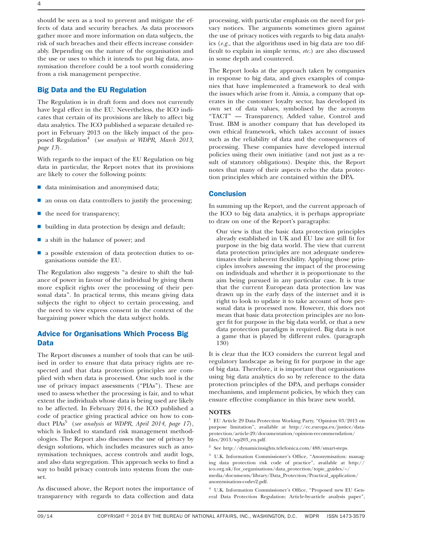4

should be seen as a tool to prevent and mitigate the effects of data and security breaches. As data processors gather more and more information on data subjects, the risk of such breaches and their effects increase considerably. Depending on the nature of the organisation and the use or uses to which it intends to put big data, anonymisation therefore could be a tool worth considering from a risk management perspective.

#### Big Data and the EU Regulation

The Regulation is in draft form and does not currently have legal effect in the EU. Nevertheless, the ICO indicates that certain of its provisions are likely to affect big data analytics. The ICO published a separate detailed report in February 2013 on the likely impact of the proposed Regulation4 (*see analysis at WDPR, March 2013, page 13*).

With regards to the impact of the EU Regulation on big data in particular, the Report notes that its provisions are likely to cover the following points:

- $\blacksquare$  data minimisation and anonymised data;
- $\blacksquare$  an onus on data controllers to justify the processing;
- $\blacksquare$  the need for transparency;
- $\blacksquare$  building in data protection by design and default;
- $\blacksquare$  a shift in the balance of power; and
- $\blacksquare$  a possible extension of data protection duties to organisations outside the EU.

The Regulation also suggests ''a desire to shift the balance of power in favour of the individual by giving them more explicit rights over the processing of their personal data''. In practical terms, this means giving data subjects the right to object to certain processing, and the need to view express consent in the context of the bargaining power which the data subject holds.

#### Advice for Organisations Which Process Big Data

The Report discusses a number of tools that can be utilised in order to ensure that data privacy rights are respected and that data protection principles are complied with when data is processed. One such tool is the use of privacy impact assessments ("PIAs"). These are used to assess whether the processing is fair, and to what extent the individuals whose data is being used are likely to be affected. In February 2014, the ICO published a code of practice giving practical advice on how to conduct PIAs<sup>5</sup> (*see analysis at WDPR, April 2014, page 17*), which is linked to standard risk management methodologies. The Report also discusses the use of privacy by design solutions, which includes measures such as anonymisation techniques, access controls and audit logs, and also data segregation. This approach seeks to find a way to build privacy controls into systems from the outset.

As discussed above, the Report notes the importance of transparency with regards to data collection and data

processing, with particular emphasis on the need for privacy notices. The arguments sometimes given against the use of privacy notices with regards to big data analytics (*e.g.,* that the algorithms used in big data are too difficult to explain in simple terms, *etc.*) are also discussed in some depth and countered.

The Report looks at the approach taken by companies in response to big data, and gives examples of companies that have implemented a framework to deal with the issues which arise from it. Aimia, a company that operates in the customer loyalty sector, has developed its own set of data values, symbolised by the acronym "TACT" — Transparency, Added value, Control and Trust. IBM is another company that has developed its own ethical framework, which takes account of issues such as the reliability of data and the consequences of processing. These companies have developed internal policies using their own initiative (and not just as a result of statutory obligations). Despite this, the Report notes that many of their aspects echo the data protection principles which are contained within the DPA.

#### **Conclusion**

In summing up the Report, and the current approach of the ICO to big data analytics, it is perhaps appropriate to draw on one of the Report's paragraphs:

Our view is that the basic data protection principles already established in UK and EU law are still fit for purpose in the big data world. The view that current data protection principles are not adequate underestimates their inherent flexibility. Applying those principles involves assessing the impact of the processing on individuals and whether it is proportionate to the aim being pursued in any particular case. It is true that the current European data protection law was drawn up in the early days of the internet and it is right to look to update it to take account of how personal data is processed now. However, this does not mean that basic data protection principles are no longer fit for purpose in the big data world, or that a new data protection paradigm is required. Big data is not a game that is played by different rules. (paragraph 130)

It is clear that the ICO considers the current legal and regulatory landscape as being fit for purpose in the age of big data. Therefore, it is important that organisations using big data analytics do so by reference to the data protection principles of the DPA, and perhaps consider mechanisms, and implement policies, by which they can ensure effective compliance in this brave new world.

#### **NOTES**

<sup>1</sup> EU Article 29 Data Protection Working Party, "Opinion 03/2013 on purpose limitation'', available at http://ec.europa.eu/justice/dataprotection/article-29/documentation/opinion-recommendation/ files/2013/wp203\_en.pdf.

 $^{\rm 2}$  See http://dynamicinsights.telefonica.com/488/smart-steps.

<sup>3</sup> U.K. Information Commissioner's Office, "Anonymisation: managing data protection risk code of practice'', available at http:// ico.org.uk/for\_organisations/data\_protection/topic\_guides/~/ media/documents/library/Data\_Protection/Practical\_application/ anonymisation-codev2.pdf.

<sup>4</sup> U.K. Information Commissioner's Office, ''Proposed new EU General Data Protection Regulation: Article-by-article analysis paper'',